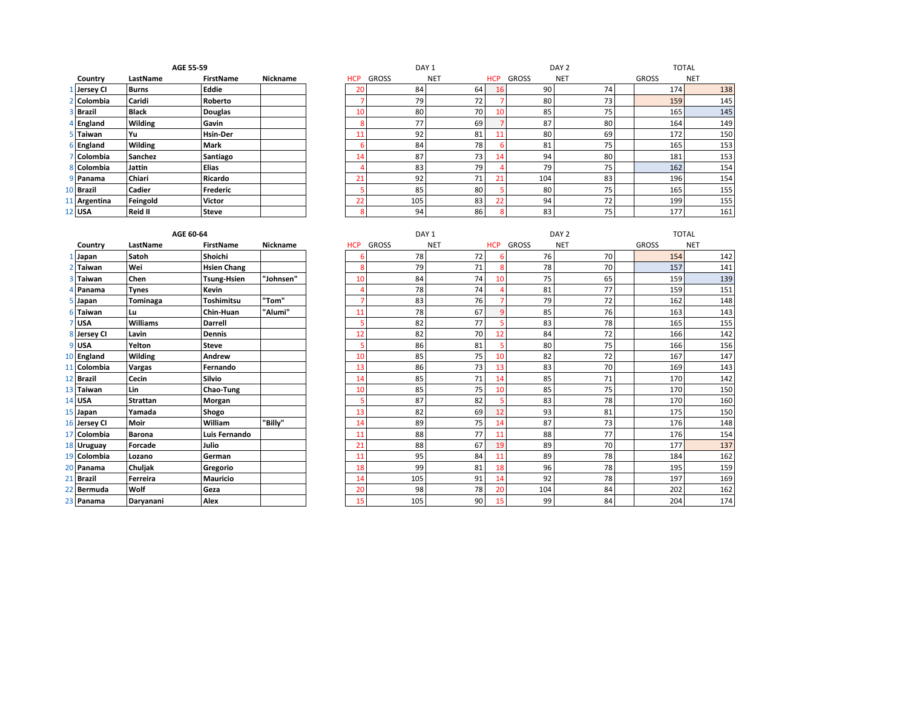|                                 | AGE 55-59      |                  |                 |  |  |  |  |  |  |
|---------------------------------|----------------|------------------|-----------------|--|--|--|--|--|--|
| Country                         | LastName       | <b>FirstName</b> | <b>Nickname</b> |  |  |  |  |  |  |
| Jersey Cl<br>1 <sup>1</sup>     | <b>Burns</b>   | Eddie            |                 |  |  |  |  |  |  |
| Colombia<br>$\overline{2}$      | Caridi         | Roberto          |                 |  |  |  |  |  |  |
| 3<br><b>Brazil</b>              | <b>Black</b>   | <b>Douglas</b>   |                 |  |  |  |  |  |  |
| England<br>4                    | <b>Wilding</b> | Gavin            |                 |  |  |  |  |  |  |
| Taiwan<br>5.                    | Yu             | <b>Hsin-Der</b>  |                 |  |  |  |  |  |  |
| England<br>6                    | Wilding        | Mark             |                 |  |  |  |  |  |  |
| Colombia<br>$\overline{7}$      | Sanchez        | Santiago         |                 |  |  |  |  |  |  |
| Colombia<br>81                  | Jattin         | Elias            |                 |  |  |  |  |  |  |
| 9<br>Panama                     | Chiari         | Ricardo          |                 |  |  |  |  |  |  |
| $\overline{0}$<br><b>Brazil</b> | Cadier         | <b>Frederic</b>  |                 |  |  |  |  |  |  |
| Argentina<br>$\mathbf{1}$       | Feingold       | <b>Victor</b>    |                 |  |  |  |  |  |  |
| $2$ USA                         | Reid II        | Steve            |                 |  |  |  |  |  |  |

| AGE 55-59    |               |                  | DAY <sub>1</sub> |            |       |                 | DAY <sub>2</sub> | <b>TOTAL</b> |            |              |            |
|--------------|---------------|------------------|------------------|------------|-------|-----------------|------------------|--------------|------------|--------------|------------|
| Country      | LastName      | <b>FirstName</b> | Nickname         | <b>HCP</b> | GROSS | <b>NET</b>      | <b>HCP</b>       | <b>GROSS</b> | <b>NET</b> | <b>GROSS</b> | <b>NET</b> |
| 1 Jersey CI  | Burns         | Eddie            |                  | 20         | 84    | 64              | 16               | 90           | 74         | 174          | 138        |
| 2 Colombia   | Caridi        | Roberto          |                  |            | 79    | 72              |                  | 80           | 73         | 159          | 145        |
| 3 Brazil     | <b>Black</b>  | <b>Douglas</b>   |                  | 10         | 80    | 70              | 10               | 85           | 75         | 165          | 145        |
| 4 England    | Wilding       | Gavin            |                  |            | 77    | 69              |                  | 87           | 80         | 164          | 149        |
| 5 Taiwan     | Yu            | <b>Hsin-Der</b>  |                  | 11         | 92    | 81              | 11               | 80           | 69         | 172          | 150        |
| 6 England    | Wilding       | <b>Mark</b>      |                  |            | 84    | 78              |                  | 81           | 75         | 165          | 153        |
| 7 Colombia   | Sanchez       | Santiago         |                  | 14         | 87    | 73              | 14               | 94           | 80         | 181          | 153        |
| 8 Colombia   | <b>Jattin</b> | <b>Elias</b>     |                  |            | 83    | 79              |                  | 79           | 75         | 162          | 154        |
| 9 Panama     | Chiari        | Ricardo          |                  | 21         | 92    | 71 <sub>1</sub> | 21               | 104          | 83         | 196          | 154        |
| 10 Brazil    | Cadier        | Frederic         |                  |            | 85    | 80              |                  | 80           | 75         | 165          | 155        |
| 11 Argentina | Feingold      | Victor           |                  | 22         | 105   | 83              | 22               | 94           | 72         | 199          | 155        |
| 12 USA       | Reid II       | <b>Steve</b>     |                  |            | 94    | 86              |                  | 83           | 75         | 177          | 161        |

|                 |               | AGE 60-64       |                    |                 |
|-----------------|---------------|-----------------|--------------------|-----------------|
|                 | Country       | LastName        | <b>FirstName</b>   | <b>Nickname</b> |
| 1               | Japan         | Satoh           | Shoichi            |                 |
| $\mathfrak{p}$  | Taiwan        | Wei             | <b>Hsien Chang</b> |                 |
| 3               | <b>Taiwan</b> | Chen            | Tsung-Hsien        | "Johnsen"       |
| 4               | Panama        | <b>Tynes</b>    | Kevin              |                 |
| 5               | Japan         | Tominaga        | <b>Toshimitsu</b>  | "Tom"           |
| 6               | Taiwan        | Lu              | Chin-Huan          | "Alumi"         |
| 7               | <b>USA</b>    | <b>Williams</b> | <b>Darrell</b>     |                 |
|                 | 8 Jersey Cl   | Lavin           | <b>Dennis</b>      |                 |
|                 | 9USA          | Yelton          | <b>Steve</b>       |                 |
|                 | 10 England    | Wilding         | Andrew             |                 |
|                 | 11 Colombia   | Vargas          | Fernando           |                 |
|                 | 12 Brazil     | Cecin           | Silvio             |                 |
|                 | 13 Taiwan     | Lin             | Chao-Tung          |                 |
|                 | 14 USA        | <b>Strattan</b> | Morgan             |                 |
|                 | 15 Japan      | Yamada          | Shogo              |                 |
|                 | 16 Jersey Cl  | Moir            | William            | "Billy"         |
|                 | 17 Colombia   | <b>Barona</b>   | Luis Fernando      |                 |
|                 | 18 Uruguay    | <b>Forcade</b>  | Julio              |                 |
|                 | 19 Colombia   | Lozano          | German             |                 |
| 20 I            | Panama        | Chuljak         | Gregorio           |                 |
| 21 <sup>1</sup> | <b>Brazil</b> | Ferreira        | <b>Mauricio</b>    |                 |
|                 | 22 Bermuda    | Wolf            | Geza               |                 |
|                 | 23 Panama     | Daryanani       | Alex               |                 |

|              | AGE 60-64       |                    |                 | DAY <sub>1</sub> |              | DAY <sub>2</sub> |            | <b>TOTAL</b> |            |              |            |
|--------------|-----------------|--------------------|-----------------|------------------|--------------|------------------|------------|--------------|------------|--------------|------------|
| Country      | LastName        | <b>FirstName</b>   | <b>Nickname</b> | <b>HCP</b>       | <b>GROSS</b> | <b>NET</b>       | <b>HCP</b> | <b>GROSS</b> | <b>NET</b> | <b>GROSS</b> | <b>NET</b> |
| Japan        | Satoh           | Shoichi            |                 | 6                | 78           | 72               | ь          | 76           | 70         | 154          | 142        |
| 2 Taiwan     | Wei             | <b>Hsien Chang</b> |                 | 8                | 79           | 71               | 8          | 78           | 70         | 157          | 141        |
| 3 Taiwan     | Chen            | <b>Tsung-Hsien</b> | "Johnsen"       | 10               | 84           | 74               | 10         | 75           | 65         | 159          | 139        |
| 4 Panama     | <b>Tynes</b>    | Kevin              |                 | Δ                | 78           | 74               |            | 81           | 77         | 159          | 151        |
| $5$ Japan    | Tominaga        | <b>Toshimitsu</b>  | "Tom"           | 7                | 83           | 76               |            | 79           | 72         | 162          | 148        |
| 6 Taiwan     | Lu              | Chin-Huan          | "Alumi"         | 11               | 78           | 67               | q          | 85           | 76         | 163          | 143        |
| 7 USA        | <b>Williams</b> | <b>Darrell</b>     |                 | 5                | 82           | 77               |            | 83           | 78         | 165          | 155        |
| 8 Jersey Cl  | Lavin           | <b>Dennis</b>      |                 | 12               | 82           | 70               | 12         | 84           | 72         | 166          | 142        |
| $9$ USA      | Yelton          | <b>Steve</b>       |                 |                  | 86           | 81               |            | 80           | 75         | 166          | 156        |
| 10 England   | <b>Wilding</b>  | Andrew             |                 | 10               | 85           | 75               | 10         | 82           | 72         | 167          | 147        |
| 11 Colombia  | Vargas          | Fernando           |                 | 13               | 86           | 73               | 13         | 83           | 70         | 169          | 143        |
| 12 Brazil    | <b>Cecin</b>    | Silvio             |                 | 14               | 85           | 71               | 14         | 85           | 71         | 170          | 142        |
| 13 Taiwan    | Lin             | Chao-Tung          |                 | 10               | 85           | 75               | 10         | 85           | 75         | 170          | 150        |
| 14 USA       | <b>Strattan</b> | Morgan             |                 | 5                | 87           | 82               |            | 83           | 78         | 170          | 160        |
| 15 Japan     | Yamada          | Shogo              |                 | 13               | 82           | 69               | 12         | 93           | 81         | 175          | 150        |
| 16 Jersey Cl | Moir            | William            | "Billy"         | 14               | 89           | 75               | 14         | 87           | 73         | 176          | 148        |
| 17 Colombia  | <b>Barona</b>   | Luis Fernando      |                 | 11               | 88           | 77               | 11         | 88           | 77         | 176          | 154        |
| 18 Uruguay   | Forcade         | Julio              |                 | 21               | 88           | 67               | 19         | 89           | 70         | 177          | 137        |
| 19 Colombia  | Lozano          | German             |                 | 11               | 95           | 84               | 11         | 89           | 78         | 184          | 162        |
| 20 Panama    | Chuljak         | Gregorio           |                 | 18               | 99           | 81               | 18         | 96           | 78         | 195          | 159        |
| 21 Brazil    | Ferreira        | <b>Mauricio</b>    |                 | 14               | 105          | 91               | 14         | 92           | 78         | 197          | 169        |
| 22 Bermuda   | Wolf            | Geza               |                 | 20               | 98           | 78               | 20         | 104          | 84         | 202          | 162        |
| 23 Panama    | Daryanani       | Alex               |                 | 15               | 105          | 90               | 15         | 99           | 84         | 204          | 174        |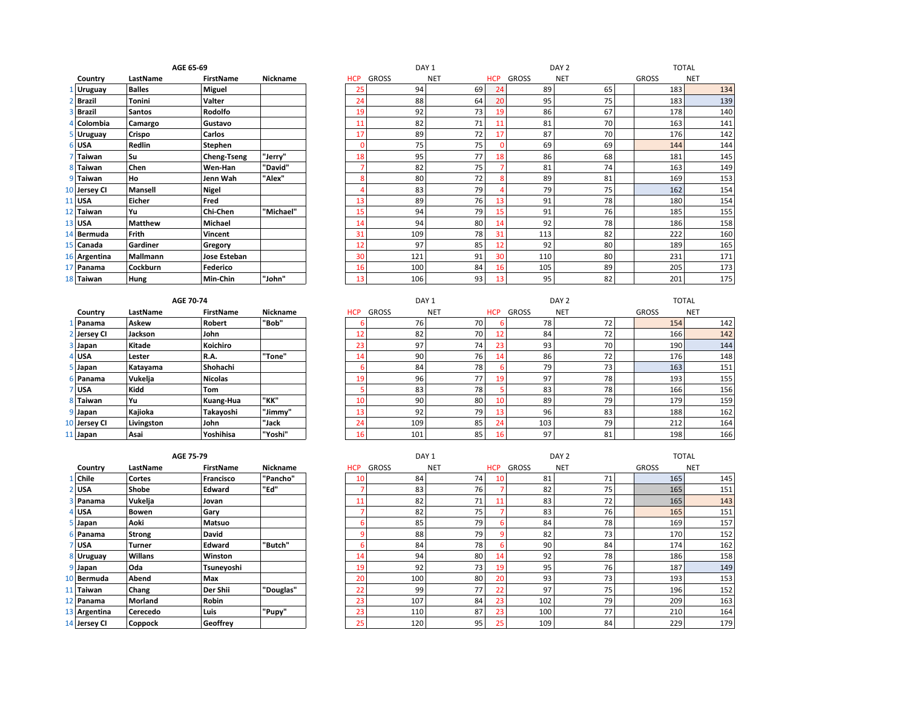|                                |                | AGL 65-69        |                 |
|--------------------------------|----------------|------------------|-----------------|
| Country                        | LastName       | <b>FirstName</b> | <b>Nickname</b> |
| 1 Uruguay                      | <b>Balles</b>  | <b>Miguel</b>    |                 |
| <b>Brazil</b><br>$\mathcal{P}$ | <b>Tonini</b>  | Valter           |                 |
| <b>Brazil</b><br>3             | <b>Santos</b>  | Rodolfo          |                 |
| 4 Colombia                     | Camargo        | Gustavo          |                 |
| 5 Uruguay                      | Crispo         | Carlos           |                 |
| 6 USA                          | Redlin         | <b>Stephen</b>   |                 |
| <b>Taiwan</b><br>7             | Su             | Cheng-Tseng      | "Jerry"         |
| 8<br>Taiwan                    | Chen           | Wen-Han          | "David"         |
| q<br>Taiwan                    | Ho             | Jenn Wah         | "Alex"          |
| 10 Jersey Cl                   | <b>Mansell</b> | <b>Nigel</b>     |                 |
| 11 USA                         | Eicher         | Fred             |                 |
| 12 Taiwan                      | Yu             | Chi-Chen         | "Michael"       |
| 13 USA                         | <b>Matthew</b> | Michael          |                 |
| 14 Bermuda                     | Frith          | Vincent          |                 |
| 15 Canada                      | Gardiner       | Gregory          |                 |
| 16 Argentina                   | Mallmann       | Jose Esteban     |                 |
| 17 Panama                      | Cockburn       | <b>Federico</b>  |                 |
| 18 Taiwan                      | Hung           | Min-Chin         | "John"          |

|              | <b>AGE 70-74</b> |            |                  |                 |  |  |  |  |  |  |
|--------------|------------------|------------|------------------|-----------------|--|--|--|--|--|--|
|              | Country          | LastName   | <b>FirstName</b> | <b>Nickname</b> |  |  |  |  |  |  |
| $\mathbf{1}$ | Panama           | Askew      | <b>Robert</b>    | "Bob"           |  |  |  |  |  |  |
|              | 2 Jersey Cl      | Jackson    | John             |                 |  |  |  |  |  |  |
| 3            | Japan            | Kitade     | Koichiro         |                 |  |  |  |  |  |  |
| 4            | <b>USA</b>       | Lester     | R.A.             | "Tone"          |  |  |  |  |  |  |
| 5            | Japan            | Katayama   | Shohachi         |                 |  |  |  |  |  |  |
| 6            | Panama           | Vukelja    | <b>Nicolas</b>   |                 |  |  |  |  |  |  |
| 7            | <b>USA</b>       | Kidd       | Tom              |                 |  |  |  |  |  |  |
| 8            | <b>Taiwan</b>    | Yu         | Kuang-Hua        | "кк"            |  |  |  |  |  |  |
| 9            | Japan            | Kajioka    | Takayoshi        | "Jimmy"         |  |  |  |  |  |  |
| 10           | <b>Jersey CI</b> | Livingston | John             | "Jack           |  |  |  |  |  |  |
|              | 11 Japan         | Asai       | Yoshihisa        | "Yoshi"         |  |  |  |  |  |  |

| AGE 65-69    |                 |                  |           | DAY <sub>1</sub> |              |              |            | DAY <sub>2</sub> |              |            | <b>TOTAL</b> |              |            |
|--------------|-----------------|------------------|-----------|------------------|--------------|--------------|------------|------------------|--------------|------------|--------------|--------------|------------|
| Country      | LastName        | <b>FirstName</b> | Nickname  |                  | <b>HCP</b>   | <b>GROSS</b> | <b>NET</b> | <b>HCP</b>       | <b>GROSS</b> | <b>NET</b> |              | <b>GROSS</b> | <b>NET</b> |
| L Uruguay    | <b>Balles</b>   | <b>Miguel</b>    |           |                  | 25           | 94           | 69         | 24               | 89           | 65         |              | 183          | 134        |
| 2 Brazil     | Tonini          | Valter           |           |                  | 24           | 88           | 64         | 20               | 95           | 75         |              | 183          | 139        |
| 3 Brazil     | <b>Santos</b>   | Rodolfo          |           |                  | 19           | 92           | 73         | 19               | 86           | 67         |              | 178          | 140        |
| 4 Colombia   | Camargo         | Gustavo          |           |                  | 11           | 82           | 71         | 11               | 81           | 70         |              | 163          | 141        |
| 5 Uruguay    | Crispo          | <b>Carlos</b>    |           |                  | 17           | 89           | 72         | 17               | 87           | 70         |              | 176          | 142        |
| 6 USA        | Redlin          | Stephen          |           |                  | <sup>0</sup> | 75           | 75         |                  | 69           | 69         |              | 144          | 144        |
| 7 Taiwan     | l Su            | Cheng-Tseng      | "Jerry"   |                  | 18           | 95           | 77         | 18               | 86           | 68         |              | 181          | 145        |
| 8 Taiwan     | Chen            | Wen-Han          | "David"   |                  |              | 82           | 75         |                  | 81           | 74         |              | 163          | 149        |
| 9 Taiwan     | Ho.             | Jenn Wah         | "Alex"    |                  | ጰ            | 80           | 72         |                  | 89           | 81         |              | 169          | 153        |
| 10 Jersey Cl | Mansell         | <b>Nigel</b>     |           |                  |              | 83           | 79         |                  | 79           | 75         |              | 162          | 154        |
| $11$ USA     | Eicher          | Fred             |           |                  | 13           | 89           | 76         | 13               | 91           | 78         |              | 180          | 154        |
| 12 Taiwan    | Yu              | Chi-Chen         | "Michael" |                  | 15           | 94           | 79         | 15               | 91           | 76         |              | 185          | 155        |
| 13 USA       | <b>Matthew</b>  | Michael          |           |                  | 14           | 94           | 80         | 14               | 92           | 78         |              | 186          | 158        |
| 14 Bermuda   | Frith           | Vincent          |           |                  | 31           | 109          | 78         | 31               | 113          | 82         |              | 222          | 160        |
| 15 Canada    | Gardiner        | Gregory          |           |                  | 12           | 97           | 85         | 12               | 92           | 80         |              | 189          | 165        |
| 16 Argentina | <b>Mallmann</b> | Jose Esteban     |           |                  | 30           | 121          | 91         | 30               | 110          | 80         |              | 231          | 171        |
| 17 Panama    | Cockburn        | Federico         |           |                  | 16           | 100          | 84         | 16               | 105          | 89         |              | 205          | 173        |
| 18 Taiwan    | Hung            | Min-Chin         | "John"    |                  | 13           | 106          | 93         | 13               | 95           | 82         |              | 201          | 175        |

|              | AGE 70-74  |           |          | DAY <sub>1</sub> |                 |            |            | DAY <sub>2</sub> |            |  | <b>TOTAL</b> |            |
|--------------|------------|-----------|----------|------------------|-----------------|------------|------------|------------------|------------|--|--------------|------------|
| Country      | LastName   | FirstName | Nickname | <b>HCP</b>       | <b>GROSS</b>    | <b>NET</b> | <b>HCP</b> | <b>GROSS</b>     | <b>NET</b> |  | <b>GROSS</b> | <b>NET</b> |
| Panama       | Askew      | Robert    | "Bob"    |                  | 76              | 70         |            | 78               | 72         |  | 154          | 142        |
| 2 Jersey Cl  | Jackson    | John      |          | 12               | 82              | 70         | 12         | 84               | 72         |  | 166          | 142        |
| 3 Japan      | Kitade     | Koichiro  |          | 23               | 97              | 74         | 23         | 93               | 70         |  | 190          | 144        |
| 4 USA        | Lester     | R.A.      | "Tone"   | 14               | 90 <sub>1</sub> | 76         | 14         | 86               | 72         |  | 176          | 148        |
| 5 Japan      | Katayama   | Shohachi  |          |                  | 84              | 78         |            | 79               | 73         |  | 163          | 151        |
| 6 Panama     | Vukelja    | Nicolas   |          | 19               | 96              | 77         | 19         | 97               | 78         |  | 193          | 155        |
| 7 USA        | Kidd       | Tom       |          |                  | 83              | 78         |            | 83               | 78         |  | 166          | 156        |
| 8 Taiwan     | lYu.       | Kuang-Hua | "KK"     | 10               | 90 <sup>°</sup> | 80         | 10         | 89               | 79         |  | 179          | 159        |
| 9 Japan      | Kajioka    | Takayoshi | "Jimmy"  | 13               | 92              | 79         | 13         | 96               | 83         |  | 188          | 162        |
| 10 Jersey CI | Livingston | John      | "Jack    | 24               | 109             | 85         | 24         | 103              | 79         |  | 212          | 164        |
| 11 Japan     | Asai       | Yoshihisa | "Yoshi"  | 16 <sub>1</sub>  | 101             | 85         | 16         | 97               | 81         |  | 198          | 166        |

|              | AGE 75-79      |                  |           | DAY <sub>1</sub> |              |            | DAY <sub>2</sub> |              |            | <b>TOTAL</b> |              |            |
|--------------|----------------|------------------|-----------|------------------|--------------|------------|------------------|--------------|------------|--------------|--------------|------------|
| Country      | LastName       | <b>FirstName</b> | Nickname  | <b>HCP</b>       | <b>GROSS</b> | <b>NET</b> | <b>HCP</b>       | <b>GROSS</b> | <b>NET</b> |              | <b>GROSS</b> | <b>NET</b> |
| L Chile      | <b>Cortes</b>  | <b>Francisco</b> | "Pancho"  | 10               | 84           | 74         | 10               | 81           | 71         |              | 165          | 145        |
| 2 USA        | Shobe          | Edward           | "Ed"      |                  | 83           | 76         |                  | 82           | 75         |              | 165          | 151        |
| 3 Panama     | Vukelja        | Jovan            |           |                  | 82           | 71         | 11               | 83           | 72         |              | 165          | 143        |
| 4 USA        | Bowen          | Gary             |           |                  | 82           | 75         |                  | 83           | 76         |              | 165          | 151        |
| 5 Japan      | Aoki           | Matsuo           |           |                  | 85           | 79         |                  | 84           | 78         |              | 169          | 157        |
| 6 Panama     | Strong         | David            |           |                  | 88           | 79         |                  | 82           | 73         |              | 170          | 152        |
| 7 USA        | Turner         | Edward           | "Butch"   | h                | 84           | 78         |                  | 90           | 84         |              | 174          | 162        |
| 8 Uruguay    | Willans        | Winston          |           | 14               | 94           | 80         | 14               | 92           | 78         |              | 186          | 158        |
| 9 Japan      | Oda            | Tsuneyoshi       |           | 19               | 92           | 73         | 19               | 95           | 76         |              | 187          | 149        |
| 10 Bermuda   | Abend          | Max              |           | 20               | 100          | 80         | 20               | 93           | 73         |              | 193          | 153        |
| 11 Taiwan    | Chang          | Der Shii         | "Douglas" | 22               | 99           | 77         | 22               | 97           | 75         |              | 196          | 152        |
| 12 Panama    | Morland        | Robin            |           | 23               | 107          | 84         | 23               | 102          | 79         |              | 209          | 163        |
| 13 Argentina | Cerecedo       | Luis             | "Pupy"    | 23               | 110          | 87         | 23               | 100          | 77         |              | 210          | 164        |
| 14 Jersey Cl | <b>Coppock</b> | Geoffrey         |           | 25               | 120          | 95         | 25               | 109          | 84         |              | 229          | 179        |

| <b>AGE 75</b> |  | - 70 |  |
|---------------|--|------|--|
|               |  |      |  |

|    | Country        | LastName       | <b>FirstName</b> | <b>Nickname</b> |
|----|----------------|----------------|------------------|-----------------|
| 11 | Chile          | Cortes         | <b>Francisco</b> | "Pancho"        |
| 21 | <b>USA</b>     | Shobe          | Edward           | "Ed"            |
| 3  | Panama         | Vukelja        | Jovan            |                 |
| 41 | <b>USA</b>     | <b>Bowen</b>   | Gary             |                 |
| 5  | Japan          | Aoki           | <b>Matsuo</b>    |                 |
| 6  | Panama         | <b>Strong</b>  | David            |                 |
| 7  | <b>USA</b>     | Turner         | Edward           | "Butch"         |
| 8  | Uruguay        | <b>Willans</b> | Winston          |                 |
| 9  | Japan          | Oda            | Tsuneyoshi       |                 |
| 10 | <b>Bermuda</b> | Abend          | Max              |                 |
| 11 | Taiwan         | Chang          | Der Shii         | "Douglas"       |
| 12 | Panama         | Morland        | Robin            |                 |
| 13 | Argentina      | Cerecedo       | Luis             | "Pupy"          |
|    | 14 Jersey Cl   | Coppock        | Geoffrey         |                 |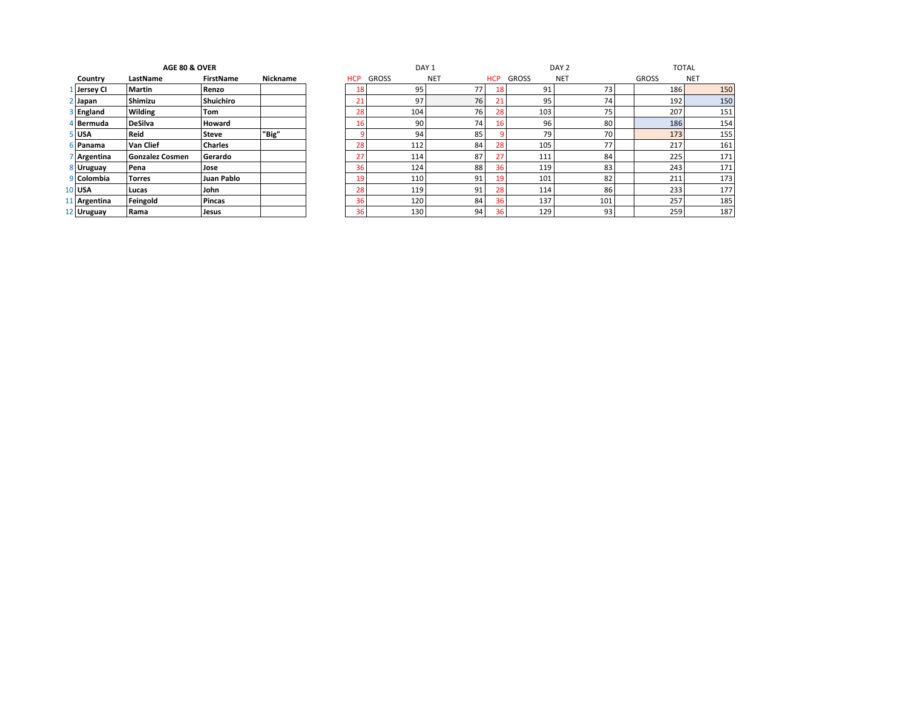|                 | Country        | LastName               | <b>FirstName</b> | <b>Nickname</b> |
|-----------------|----------------|------------------------|------------------|-----------------|
|                 | 1 Jersey Cl    | <b>Martin</b>          | Renzo            |                 |
| $\overline{2}$  | Japan          | Shimizu                | <b>Shuichiro</b> |                 |
|                 | 3 England      | <b>Wilding</b>         | Tom              |                 |
|                 | 4 Bermuda      | <b>DeSilva</b>         | Howard           |                 |
|                 | 5 USA          | Reid                   | <b>Steve</b>     | "Big"           |
|                 | 6 Panama       | Van Clief              | <b>Charles</b>   |                 |
|                 | Argentina      | <b>Gonzalez Cosmen</b> | Gerardo          |                 |
| 8               | <b>Uruguay</b> | Pena                   | Jose             |                 |
| q               | Colombia       | <b>Torres</b>          | Juan Pablo       |                 |
| 10 <sup>1</sup> | <b>USA</b>     | Lucas                  | John             |                 |
| 11              | Argentina      | Feingold               | Pincas           |                 |
|                 | 12 Hruguay     | Rama                   | lacue            |                 |

|               | AGE 80 & OVER   |                  |          |                 | DAY <sub>1</sub> |                 |            |                  | DAY <sub>2</sub> |              | <b>TOTAL</b> |
|---------------|-----------------|------------------|----------|-----------------|------------------|-----------------|------------|------------------|------------------|--------------|--------------|
| Country       | LastName        | <b>FirstName</b> | Nickname | <b>HCP</b>      | GROSS            | <b>NET</b>      | <b>HCP</b> | <b>GROSS</b>     | <b>NET</b>       | <b>GROSS</b> | <b>NET</b>   |
| l   Jersey CI | Martin          | Renzo            |          | 18              | 95               | 77              | 18         | 91               | 73               | 186          | 150          |
| 2 Japan       | Shimizu         | Shuichiro        |          | 21              | 97               | 76              | 21         | 95               | 74               | 192          | 150          |
| 3 England     | Wilding         | Tom              |          | 28              | 104              | 76              | 28         | 103              | 75               | 207          | 151          |
| 4 Bermuda     | DeSilva         | <b>Howard</b>    |          | 16              | 90               | 74              | 16         | 96               | 80               | 186          | 154          |
| 5 USA         | Reid            | <b>Steve</b>     | "Big"    |                 | 94               | 85              |            | 79               | 70               | 173          | 155          |
| 6 Panama      | Van Clief       | <b>Charles</b>   |          | 28              | 112              | 84              | 28         | 105              | 77               | 217          | 161          |
| 7 Argentina   | Gonzalez Cosmen | Gerardo          |          | 27              | 114              | 87              | 27         | 111              | 84               | 225          | 171          |
| 8 Uruguay     | Pena            | Jose             |          | 36              | 124              | 88              | 36         | 119              | 83               | 243          | 171          |
| 9 Colombia    | Torres          | Juan Pablo       |          | 19              | 110              | 91              | 19         | 101              | 82               | 211          | 173          |
| $10$ USA      | Lucas           | John             |          | 28              | 119              | 91              | 28         | 114 <sub>1</sub> | 86               | 233          | 177          |
| 11 Argentina  | Feingold        | Pincas           |          | 36              | 120              | 84              | 36         | 137              | 101              | 257          | 185          |
| 12 Uruguay    | Rama            | Jesus            |          | 36 <sub>1</sub> | 130              | 94 <sub>1</sub> | 36         | 129              | 93               | 259          | 187          |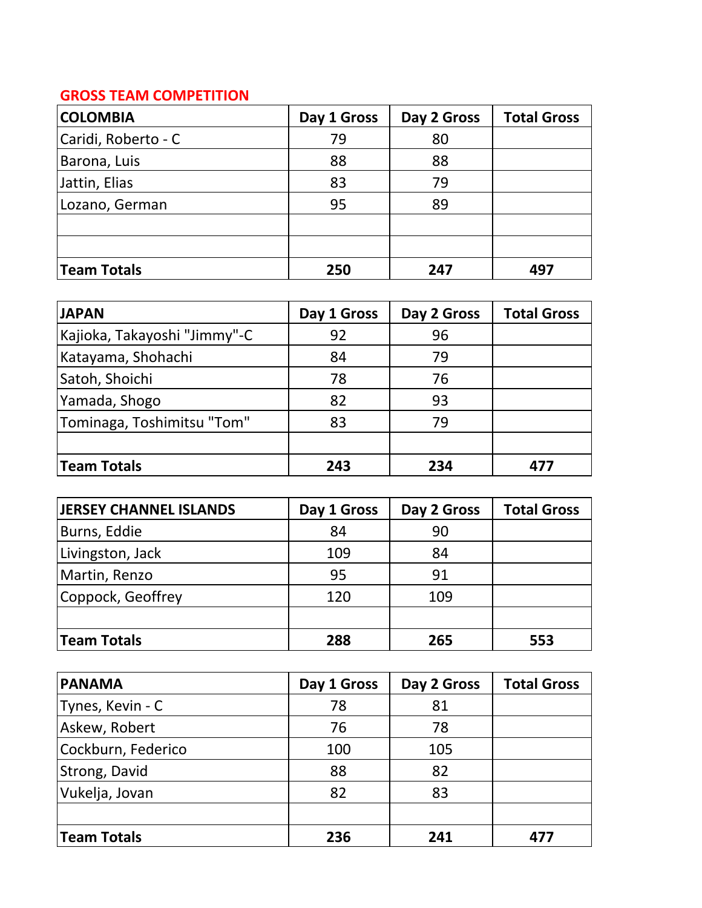## **GROSS TEAM COMPETITION**

| <b>COLOMBIA</b>     | Day 1 Gross | Day 2 Gross | <b>Total Gross</b> |
|---------------------|-------------|-------------|--------------------|
| Caridi, Roberto - C | 79          | 80          |                    |
| Barona, Luis        | 88          | 88          |                    |
| Jattin, Elias       | 83          | 79          |                    |
| Lozano, German      | 95          | 89          |                    |
|                     |             |             |                    |
|                     |             |             |                    |
| Team Totals         | 250         | 247         | 497                |

| <b>JAPAN</b>                 | Day 1 Gross | Day 2 Gross | <b>Total Gross</b> |
|------------------------------|-------------|-------------|--------------------|
| Kajioka, Takayoshi "Jimmy"-C | 92          | 96          |                    |
| Katayama, Shohachi           | 84          | 79          |                    |
| Satoh, Shoichi               | 78          | 76          |                    |
| Yamada, Shogo                | 82          | 93          |                    |
| Tominaga, Toshimitsu "Tom"   | 83          | 79          |                    |
|                              |             |             |                    |
| Team Totals                  | 243         | 234         | 477                |

| <b>JERSEY CHANNEL ISLANDS</b> | Day 1 Gross | Day 2 Gross | <b>Total Gross</b> |
|-------------------------------|-------------|-------------|--------------------|
| Burns, Eddie                  | 84          | 90          |                    |
| Livingston, Jack              | 109         | 84          |                    |
| Martin, Renzo                 | 95          | 91          |                    |
| Coppock, Geoffrey             | 120         | 109         |                    |
|                               |             |             |                    |
| <b>Team Totals</b>            | 288         | 265         | 553                |

| <b>PANAMA</b>      | Day 1 Gross | Day 2 Gross | <b>Total Gross</b> |
|--------------------|-------------|-------------|--------------------|
| Tynes, Kevin - C   | 78          | 81          |                    |
| Askew, Robert      | 76          | 78          |                    |
| Cockburn, Federico | 100         | 105         |                    |
| Strong, David      | 88          | 82          |                    |
| Vukelja, Jovan     | 82          | 83          |                    |
|                    |             |             |                    |
| Team Totals        | 236         | 241         |                    |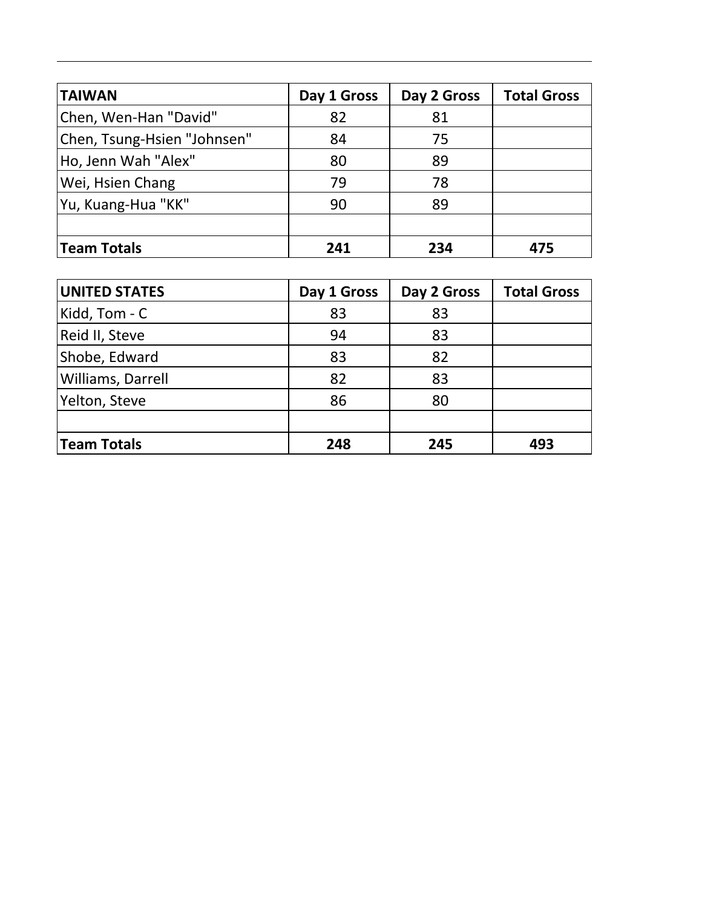| <b>TAIWAN</b>               | Day 1 Gross | Day 2 Gross | <b>Total Gross</b> |
|-----------------------------|-------------|-------------|--------------------|
| Chen, Wen-Han "David"       | 82          | 81          |                    |
| Chen, Tsung-Hsien "Johnsen" | 84          | 75          |                    |
| Ho, Jenn Wah "Alex"         | 80          | 89          |                    |
| Wei, Hsien Chang            | 79          | 78          |                    |
| Yu, Kuang-Hua "KK"          | 90          | 89          |                    |
|                             |             |             |                    |
| Team Totals                 | 241         | 234         | 475                |

| <b>UNITED STATES</b> | Day 1 Gross | Day 2 Gross | <b>Total Gross</b> |
|----------------------|-------------|-------------|--------------------|
| Kidd, Tom - C        | 83          | 83          |                    |
| Reid II, Steve       | 94          | 83          |                    |
| Shobe, Edward        | 83          | 82          |                    |
| Williams, Darrell    | 82          | 83          |                    |
| Yelton, Steve        | 86          | 80          |                    |
|                      |             |             |                    |
| Team Totals          | 248         | 245         | 493                |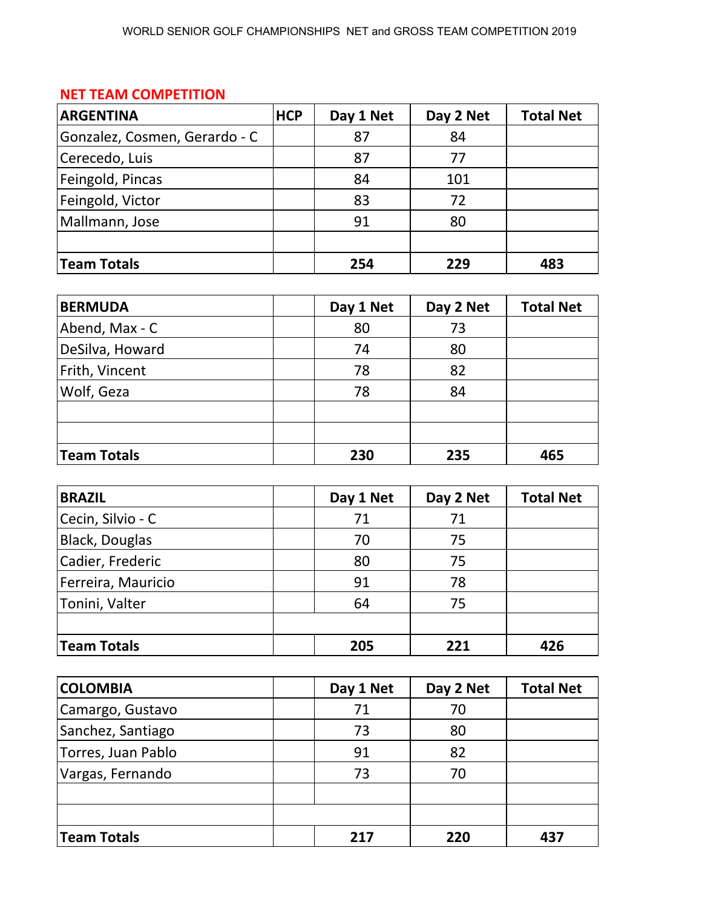## **NET TEAM COMPETITION**

| <b>ARGENTINA</b>              | <b>HCP</b> | Day 1 Net | Day 2 Net | <b>Total Net</b> |
|-------------------------------|------------|-----------|-----------|------------------|
| Gonzalez, Cosmen, Gerardo - C |            | 87        | 84        |                  |
| Cerecedo, Luis                |            | 87        | 77        |                  |
| Feingold, Pincas              |            | 84        | 101       |                  |
| Feingold, Victor              |            | 83        | 72        |                  |
| Mallmann, Jose                |            | 91        | 80        |                  |
|                               |            |           |           |                  |
| <b>Team Totals</b>            |            | 254       | 229       | 483              |

| <b>BERMUDA</b>  | Day 1 Net | Day 2 Net | <b>Total Net</b> |
|-----------------|-----------|-----------|------------------|
| Abend, Max - C  | 80        | 73        |                  |
| DeSilva, Howard | 74        | 80        |                  |
| Frith, Vincent  | 78        | 82        |                  |
| Wolf, Geza      | 78        | 84        |                  |
|                 |           |           |                  |
|                 |           |           |                  |
| Team Totals     | 230       | 235       | 465              |

| <b>BRAZIL</b>         | Day 1 Net | Day 2 Net | <b>Total Net</b> |
|-----------------------|-----------|-----------|------------------|
| Cecin, Silvio - C     | 71        | 71        |                  |
| <b>Black, Douglas</b> | 70        | 75        |                  |
| Cadier, Frederic      | 80        | 75        |                  |
| Ferreira, Mauricio    | 91        | 78        |                  |
| Tonini, Valter        | 64        | 75        |                  |
|                       |           |           |                  |
| Team Totals           | 205       | 221       | 426              |

| <b>COLOMBIA</b>    | Day 1 Net | Day 2 Net | <b>Total Net</b> |
|--------------------|-----------|-----------|------------------|
| Camargo, Gustavo   | 71        | 70        |                  |
| Sanchez, Santiago  | 73        | 80        |                  |
| Torres, Juan Pablo | 91        | 82        |                  |
| Vargas, Fernando   | 73        | 70        |                  |
|                    |           |           |                  |
|                    |           |           |                  |
| Team Totals        | 217       | 220       | 437              |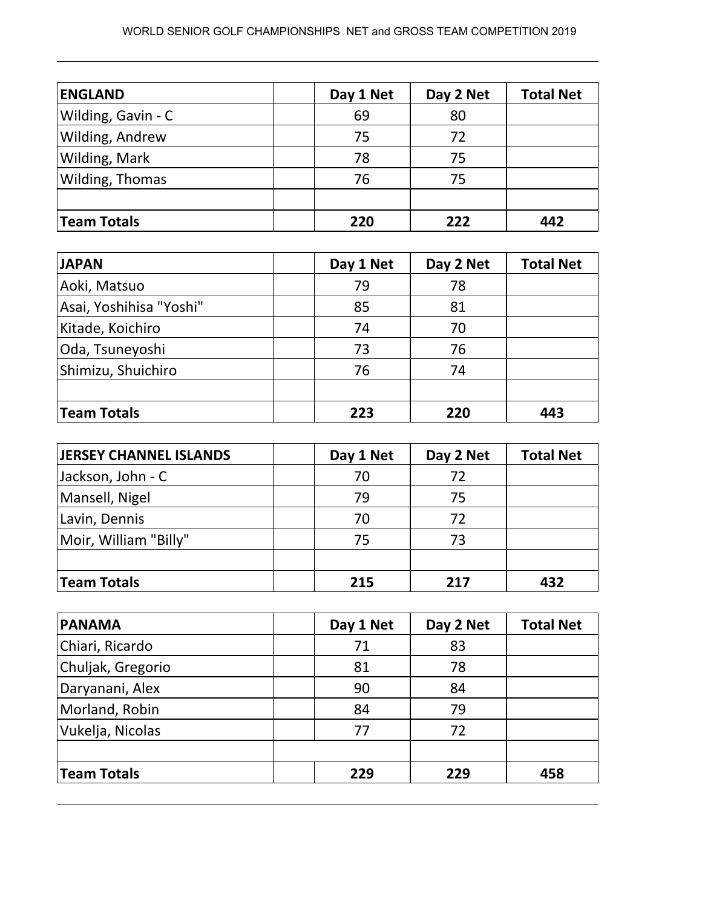| <b>ENGLAND</b>         | Day 1 Net | Day 2 Net | <b>Total Net</b> |
|------------------------|-----------|-----------|------------------|
| Wilding, Gavin - C     | 69        | 80        |                  |
| <b>Wilding, Andrew</b> | 75        | 72        |                  |
| Wilding, Mark          | 78        | 75        |                  |
| Wilding, Thomas        | 76        | 75        |                  |
|                        |           |           |                  |
| <b>Team Totals</b>     | 220       | 222       | 442              |

| <b>JAPAN</b>            | Day 1 Net | Day 2 Net | <b>Total Net</b> |
|-------------------------|-----------|-----------|------------------|
| Aoki, Matsuo            | 79        | 78        |                  |
| Asai, Yoshihisa "Yoshi" | 85        | 81        |                  |
| Kitade, Koichiro        | 74        | 70        |                  |
| Oda, Tsuneyoshi         | 73        | 76        |                  |
| Shimizu, Shuichiro      | 76        | 74        |                  |
|                         |           |           |                  |
| Team Totals             | 223       | 220       | 443              |

| <b>JERSEY CHANNEL ISLANDS</b> | Day 1 Net | Day 2 Net | <b>Total Net</b> |
|-------------------------------|-----------|-----------|------------------|
| Jackson, John - C             | 70        | 72        |                  |
| Mansell, Nigel                | 79        | 75        |                  |
| Lavin, Dennis                 | 70        | 72        |                  |
| Moir, William "Billy"         | 75        | 73        |                  |
|                               |           |           |                  |
| Team Totals                   | 215       | 217       | 432              |

| <b>PANAMA</b>     | Day 1 Net | Day 2 Net | <b>Total Net</b> |
|-------------------|-----------|-----------|------------------|
| Chiari, Ricardo   | 71        | 83        |                  |
| Chuljak, Gregorio | 81        | 78        |                  |
| Daryanani, Alex   | 90        | 84        |                  |
| Morland, Robin    | 84        | 79        |                  |
| Vukelja, Nicolas  | 77        | 72        |                  |
|                   |           |           |                  |
| Team Totals       | 229       | 229       | 458              |